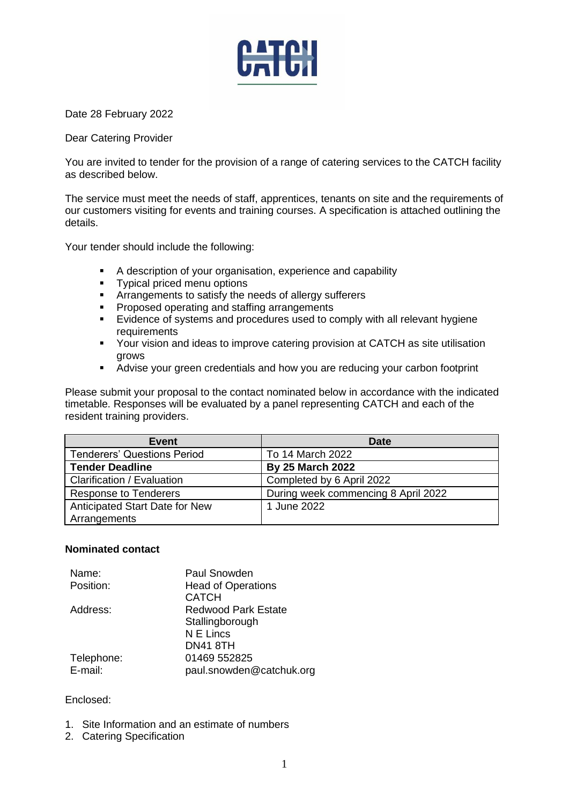

Date 28 February 2022

Dear Catering Provider

You are invited to tender for the provision of a range of catering services to the CATCH facility as described below.

The service must meet the needs of staff, apprentices, tenants on site and the requirements of our customers visiting for events and training courses. A specification is attached outlining the details.

Your tender should include the following:

- A description of your organisation, experience and capability
- Typical priced menu options
- **EXP** Arrangements to satisfy the needs of allergy sufferers
- Proposed operating and staffing arrangements
- Evidence of systems and procedures used to comply with all relevant hygiene requirements
- Your vision and ideas to improve catering provision at CATCH as site utilisation grows
- Advise your green credentials and how you are reducing your carbon footprint

Please submit your proposal to the contact nominated below in accordance with the indicated timetable. Responses will be evaluated by a panel representing CATCH and each of the resident training providers.

| <b>Event</b>                       | Date                                |
|------------------------------------|-------------------------------------|
| <b>Tenderers' Questions Period</b> | To 14 March 2022                    |
| <b>Tender Deadline</b>             | <b>By 25 March 2022</b>             |
| Clarification / Evaluation         | Completed by 6 April 2022           |
| <b>Response to Tenderers</b>       | During week commencing 8 April 2022 |
| Anticipated Start Date for New     | 1 June 2022                         |
| Arrangements                       |                                     |

### **Nominated contact**

| Paul Snowden               |  |
|----------------------------|--|
| <b>Head of Operations</b>  |  |
| <b>CATCH</b>               |  |
| <b>Redwood Park Estate</b> |  |
| Stallingborough            |  |
| N E Lincs                  |  |
| <b>DN41 8TH</b>            |  |
| 01469 552825               |  |
| paul.snowden@catchuk.org   |  |
|                            |  |

### Enclosed:

- 1. Site Information and an estimate of numbers
- 2. Catering Specification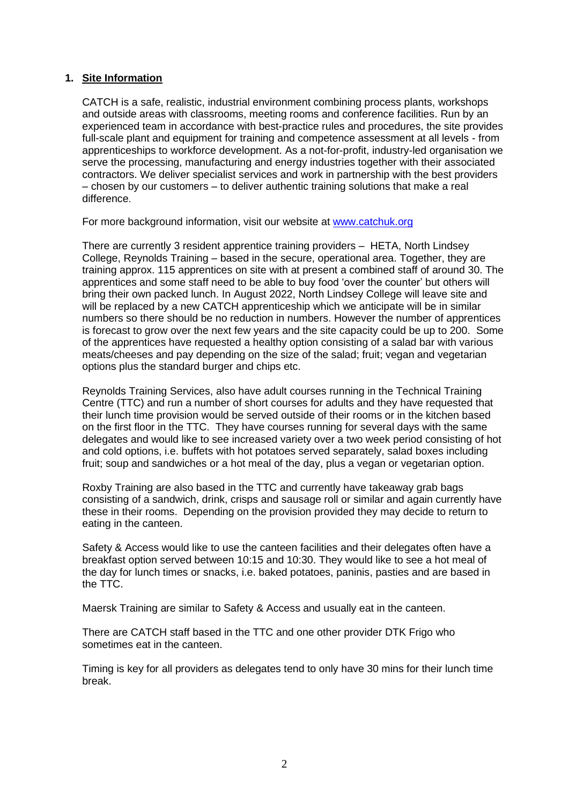### **1. Site Information**

CATCH is a safe, realistic, industrial environment combining process plants, workshops and outside areas with classrooms, meeting rooms and conference facilities. Run by an experienced team in accordance with best-practice rules and procedures, the site provides full-scale plant and equipment for training and competence assessment at all levels - from apprenticeships to workforce development. As a not-for-profit, industry-led organisation we serve the processing, manufacturing and energy industries together with their associated contractors. We deliver specialist services and work in partnership with the best providers – chosen by our customers – to deliver authentic training solutions that make a real difference.

For more background information, visit our website at [www.catchuk.org](http://www.catch-uk.org/)

There are currently 3 resident apprentice training providers – HETA, North Lindsey College, Reynolds Training – based in the secure, operational area. Together, they are training approx. 115 apprentices on site with at present a combined staff of around 30. The apprentices and some staff need to be able to buy food 'over the counter' but others will bring their own packed lunch. In August 2022, North Lindsey College will leave site and will be replaced by a new CATCH apprenticeship which we anticipate will be in similar numbers so there should be no reduction in numbers. However the number of apprentices is forecast to grow over the next few years and the site capacity could be up to 200. Some of the apprentices have requested a healthy option consisting of a salad bar with various meats/cheeses and pay depending on the size of the salad; fruit; vegan and vegetarian options plus the standard burger and chips etc.

Reynolds Training Services, also have adult courses running in the Technical Training Centre (TTC) and run a number of short courses for adults and they have requested that their lunch time provision would be served outside of their rooms or in the kitchen based on the first floor in the TTC. They have courses running for several days with the same delegates and would like to see increased variety over a two week period consisting of hot and cold options, i.e. buffets with hot potatoes served separately, salad boxes including fruit; soup and sandwiches or a hot meal of the day, plus a vegan or vegetarian option.

Roxby Training are also based in the TTC and currently have takeaway grab bags consisting of a sandwich, drink, crisps and sausage roll or similar and again currently have these in their rooms. Depending on the provision provided they may decide to return to eating in the canteen.

Safety & Access would like to use the canteen facilities and their delegates often have a breakfast option served between 10:15 and 10:30. They would like to see a hot meal of the day for lunch times or snacks, i.e. baked potatoes, paninis, pasties and are based in the TTC.

Maersk Training are similar to Safety & Access and usually eat in the canteen.

There are CATCH staff based in the TTC and one other provider DTK Frigo who sometimes eat in the canteen.

Timing is key for all providers as delegates tend to only have 30 mins for their lunch time break.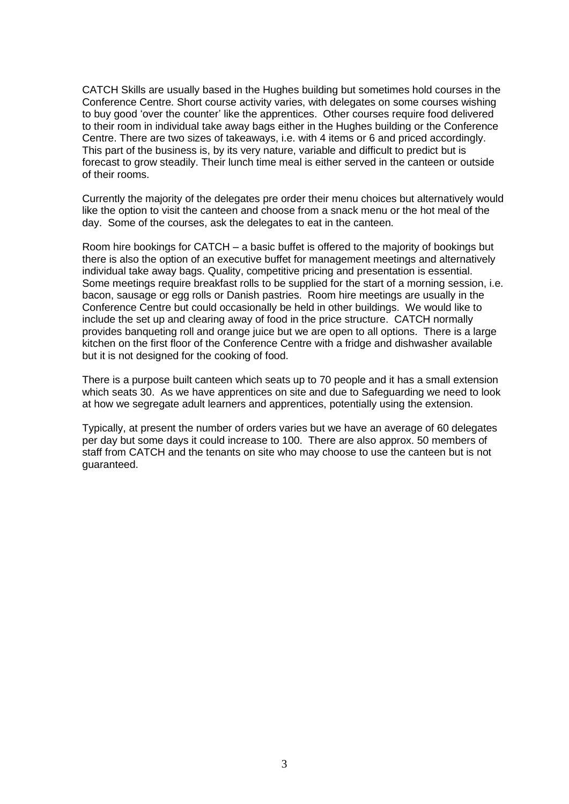CATCH Skills are usually based in the Hughes building but sometimes hold courses in the Conference Centre. Short course activity varies, with delegates on some courses wishing to buy good 'over the counter' like the apprentices. Other courses require food delivered to their room in individual take away bags either in the Hughes building or the Conference Centre. There are two sizes of takeaways, i.e. with 4 items or 6 and priced accordingly. This part of the business is, by its very nature, variable and difficult to predict but is forecast to grow steadily. Their lunch time meal is either served in the canteen or outside of their rooms.

Currently the majority of the delegates pre order their menu choices but alternatively would like the option to visit the canteen and choose from a snack menu or the hot meal of the day. Some of the courses, ask the delegates to eat in the canteen.

Room hire bookings for CATCH – a basic buffet is offered to the majority of bookings but there is also the option of an executive buffet for management meetings and alternatively individual take away bags. Quality, competitive pricing and presentation is essential. Some meetings require breakfast rolls to be supplied for the start of a morning session, i.e. bacon, sausage or egg rolls or Danish pastries. Room hire meetings are usually in the Conference Centre but could occasionally be held in other buildings. We would like to include the set up and clearing away of food in the price structure. CATCH normally provides banqueting roll and orange juice but we are open to all options. There is a large kitchen on the first floor of the Conference Centre with a fridge and dishwasher available but it is not designed for the cooking of food.

There is a purpose built canteen which seats up to 70 people and it has a small extension which seats 30. As we have apprentices on site and due to Safeguarding we need to look at how we segregate adult learners and apprentices, potentially using the extension.

Typically, at present the number of orders varies but we have an average of 60 delegates per day but some days it could increase to 100. There are also approx. 50 members of staff from CATCH and the tenants on site who may choose to use the canteen but is not guaranteed.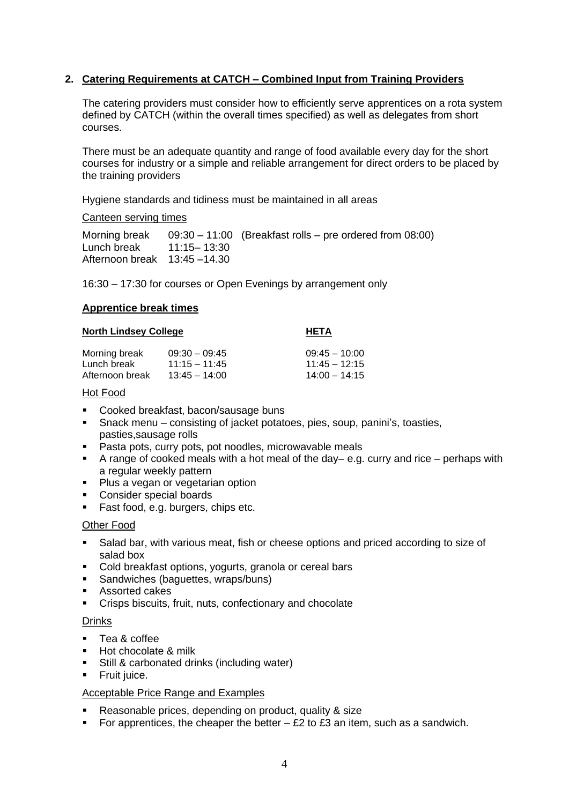# **2. Catering Requirements at CATCH – Combined Input from Training Providers**

The catering providers must consider how to efficiently serve apprentices on a rota system defined by CATCH (within the overall times specified) as well as delegates from short courses.

There must be an adequate quantity and range of food available every day for the short courses for industry or a simple and reliable arrangement for direct orders to be placed by the training providers

Hygiene standards and tidiness must be maintained in all areas

### Canteen serving times

Morning break 09:30 – 11:00 (Breakfast rolls – pre ordered from 08:00) Lunch break 11:15– 13:30 Afternoon break 13:45 –14.30

16:30 – 17:30 for courses or Open Evenings by arrangement only

### **Apprentice break times**

#### **North Lindsey College <b>HETA**

| Morning break   | $09:30 - 09:45$ | 09:45 - 10:00 |
|-----------------|-----------------|---------------|
| Lunch break     | $11:15 - 11:45$ | 11:45 – 12:15 |
| Afternoon break | $13:45 - 14:00$ | 14:00 - 14:15 |

### Hot Food

- Cooked breakfast, bacon/sausage buns
- Snack menu consisting of jacket potatoes, pies, soup, panini's, toasties, pasties,sausage rolls
- Pasta pots, curry pots, pot noodles, microwavable meals
- A range of cooked meals with a hot meal of the day– e.g. curry and rice perhaps with a regular weekly pattern
- Plus a vegan or vegetarian option
- Consider special boards
- Fast food, e.g. burgers, chips etc.

### **Other Food**

- Salad bar, with various meat, fish or cheese options and priced according to size of salad box
- Cold breakfast options, yogurts, granola or cereal bars
- Sandwiches (baguettes, wraps/buns)
- Assorted cakes
- Crisps biscuits, fruit, nuts, confectionary and chocolate

#### Drinks

- Tea & coffee
- **Hot chocolate & milk**
- Still & carbonated drinks (including water)
- **•** Fruit juice.

### Acceptable Price Range and Examples

- Reasonable prices, depending on product, quality & size
- **•** For apprentices, the cheaper the better  $-$  £2 to £3 an item, such as a sandwich.